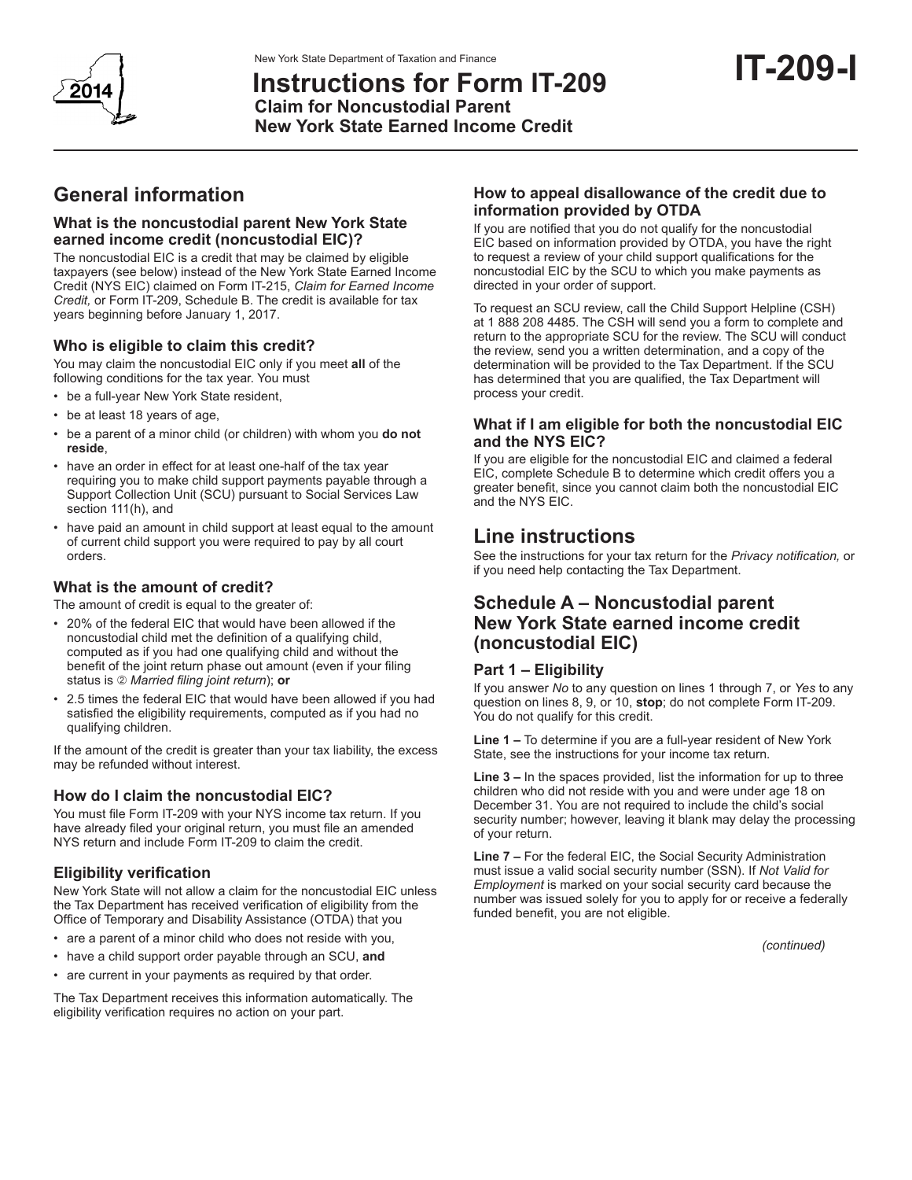**Instructions for Form IT-209 Claim for Noncustodial Parent New York State Earned Income Credit**

# **General information**

### **What is the noncustodial parent New York State earned income credit (noncustodial EIC)?**

The noncustodial EIC is a credit that may be claimed by eligible taxpayers (see below) instead of the New York State Earned Income Credit (NYS EIC) claimed on Form IT-215, *Claim for Earned Income Credit,* or Form IT-209, Schedule B. The credit is available for tax years beginning before January 1, 2017.

### **Who is eligible to claim this credit?**

You may claim the noncustodial EIC only if you meet **all** of the following conditions for the tax year. You must

- • be a full-year New York State resident,
- be at least 18 years of age,
- be a parent of a minor child (or children) with whom you **do not reside**,
- have an order in effect for at least one-half of the tax year requiring you to make child support payments payable through a Support Collection Unit (SCU) pursuant to Social Services Law section 111(h), and
- have paid an amount in child support at least equal to the amount of current child support you were required to pay by all court orders.

### **What is the amount of credit?**

The amount of credit is equal to the greater of:

- • 20% of the federal EIC that would have been allowed if the noncustodial child met the definition of a qualifying child, computed as if you had one qualifying child and without the benefit of the joint return phase out amount (even if your filing status is *Married filing joint return*); **or**
- 2.5 times the federal EIC that would have been allowed if you had satisfied the eligibility requirements, computed as if you had no qualifying children.

If the amount of the credit is greater than your tax liability, the excess may be refunded without interest.

# **How do I claim the noncustodial EIC?**

You must file Form IT-209 with your NYS income tax return. If you have already filed your original return, you must file an amended NYS return and include Form IT-209 to claim the credit.

# **Eligibility verification**

New York State will not allow a claim for the noncustodial EIC unless the Tax Department has received verification of eligibility from the Office of Temporary and Disability Assistance (OTDA) that you

- are a parent of a minor child who does not reside with you,
- • have a child support order payable through an SCU, **and**
- are current in your payments as required by that order.

The Tax Department receives this information automatically. The eligibility verification requires no action on your part.

### **How to appeal disallowance of the credit due to information provided by OTDA**

If you are notified that you do not qualify for the noncustodial EIC based on information provided by OTDA, you have the right to request a review of your child support qualifications for the noncustodial EIC by the SCU to which you make payments as directed in your order of support.

To request an SCU review, call the Child Support Helpline (CSH) at 1 888 208 4485. The CSH will send you a form to complete and return to the appropriate SCU for the review. The SCU will conduct the review, send you a written determination, and a copy of the determination will be provided to the Tax Department. If the SCU has determined that you are qualified, the Tax Department will process your credit.

### **What if I am eligible for both the noncustodial EIC and the NYS EIC?**

If you are eligible for the noncustodial EIC and claimed a federal EIC, complete Schedule B to determine which credit offers you a greater benefit, since you cannot claim both the noncustodial EIC and the NYS EIC.

# **Line instructions**

See the instructions for your tax return for the *Privacy notification,* or if you need help contacting the Tax Department.

# **Schedule A – Noncustodial parent New York State earned income credit (noncustodial EIC)**

### **Part 1 – Eligibility**

If you answer *No* to any question on lines 1 through 7, or *Yes* to any question on lines 8, 9, or 10, **stop**; do not complete Form IT-209. You do not qualify for this credit.

**Line 1 –** To determine if you are a full-year resident of New York State, see the instructions for your income tax return*.*

**Line 3 –** In the spaces provided, list the information for up to three children who did not reside with you and were under age 18 on December 31. You are not required to include the child's social security number; however, leaving it blank may delay the processing of your return.

**Line 7 –** For the federal EIC, the Social Security Administration must issue a valid social security number (SSN). If *Not Valid for Employment* is marked on your social security card because the number was issued solely for you to apply for or receive a federally funded benefit, you are not eligible.

*(continued)*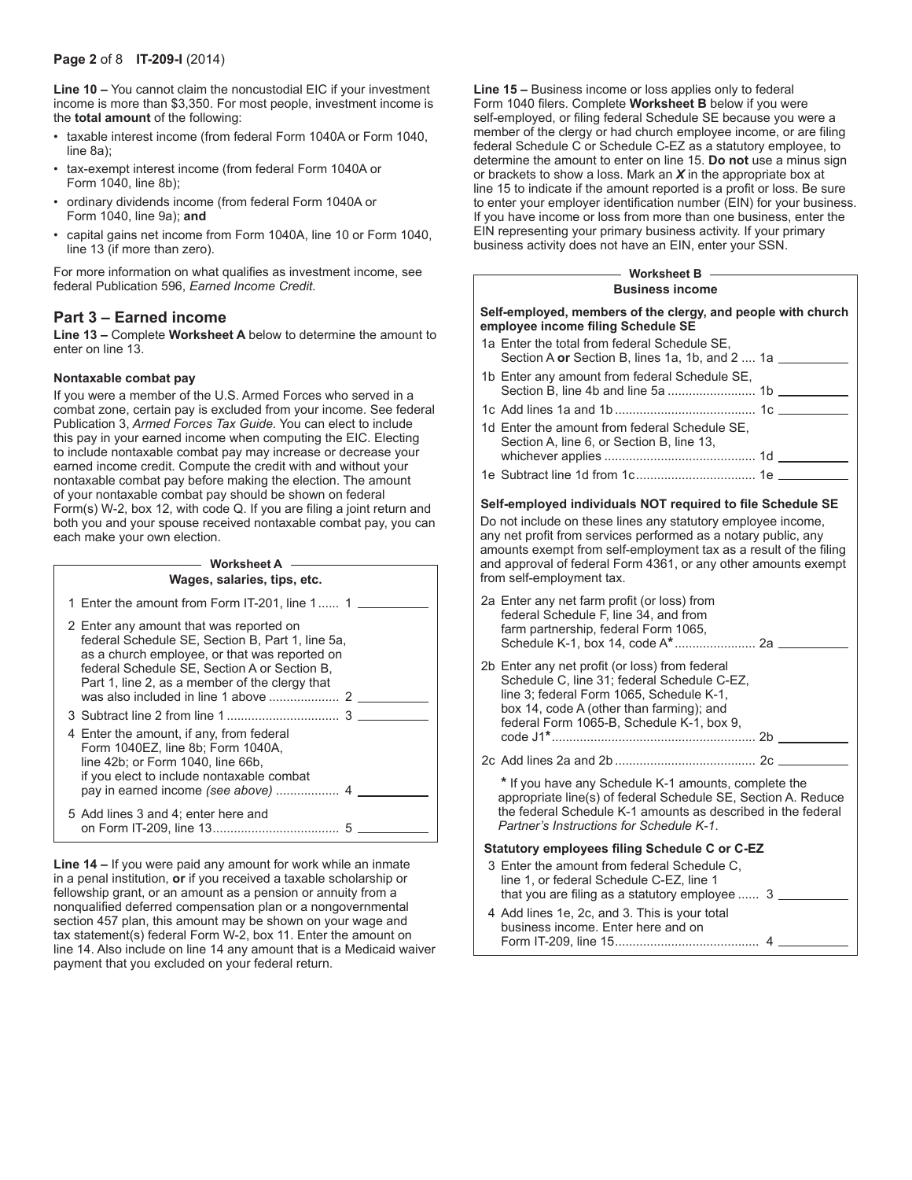#### **Page 2** of 8 **IT-209-I** (2014)

**Line 10 –** You cannot claim the noncustodial EIC if your investment income is more than \$3,350. For most people, investment income is the **total amount** of the following:

- taxable interest income (from federal Form 1040A or Form 1040, line 8a);
- • tax-exempt interest income (from federal Form 1040A or Form 1040, line 8b);
- ordinary dividends income (from federal Form 1040A or Form 1040, line 9a); **and**
- capital gains net income from Form 1040A, line 10 or Form 1040, line 13 (if more than zero).

For more information on what qualifies as investment income, see federal Publication 596, *Earned Income Credit.*

#### **Part 3 – Earned income**

**Line 13 –** Complete **Worksheet A** below to determine the amount to enter on line 13.

#### **Nontaxable combat pay**

If you were a member of the U.S. Armed Forces who served in a combat zone, certain pay is excluded from your income. See federal Publication 3, *Armed Forces Tax Guide.* You can elect to include this pay in your earned income when computing the EIC. Electing to include nontaxable combat pay may increase or decrease your earned income credit. Compute the credit with and without your nontaxable combat pay before making the election. The amount of your nontaxable combat pay should be shown on federal Form(s) W-2, box 12, with code Q. If you are filing a joint return and both you and your spouse received nontaxable combat pay, you can each make your own election.

| <b>Worksheet A</b><br>Wages, salaries, tips, etc.                                                                                                                                                                                              |
|------------------------------------------------------------------------------------------------------------------------------------------------------------------------------------------------------------------------------------------------|
| 1 Enter the amount from Form IT-201, line 1 1                                                                                                                                                                                                  |
| 2 Enter any amount that was reported on<br>federal Schedule SE, Section B, Part 1, line 5a,<br>as a church employee, or that was reported on<br>federal Schedule SE, Section A or Section B,<br>Part 1, line 2, as a member of the clergy that |
|                                                                                                                                                                                                                                                |
| 4 Enter the amount, if any, from federal<br>Form 1040EZ, line 8b; Form 1040A,<br>line 42b; or Form 1040, line 66b,<br>if you elect to include nontaxable combat                                                                                |
| 5 Add lines 3 and 4; enter here and                                                                                                                                                                                                            |

**Line 14 –** If you were paid any amount for work while an inmate in a penal institution, **or** if you received a taxable scholarship or fellowship grant, or an amount as a pension or annuity from a nonqualified deferred compensation plan or a nongovernmental section 457 plan, this amount may be shown on your wage and tax statement(s) federal Form W-2, box 11. Enter the amount on line 14. Also include on line 14 any amount that is a Medicaid waiver payment that you excluded on your federal return.

**Line 15 –** Business income or loss applies only to federal Form 1040 filers. Complete **Worksheet B** below if you were self-employed, or filing federal Schedule SE because you were a member of the clergy or had church employee income, or are filing federal Schedule C or Schedule C-EZ as a statutory employee, to determine the amount to enter on line 15. **Do not** use a minus sign or brackets to show a loss. Mark an *X* in the appropriate box at line 15 to indicate if the amount reported is a profit or loss. Be sure to enter your employer identification number (EIN) for your business. If you have income or loss from more than one business, enter the EIN representing your primary business activity. If your primary business activity does not have an EIN, enter your SSN.

#### **Business income Worksheet B**

| Self-employed, members of the clergy, and people with church<br>employee income filing Schedule SE    |  |
|-------------------------------------------------------------------------------------------------------|--|
| 1a Enter the total from federal Schedule SE,<br>Section A or Section B, lines 1a, 1b, and 2  1a _____ |  |
| 1b Enter any amount from federal Schedule SE.                                                         |  |
|                                                                                                       |  |
| 1d Enter the amount from federal Schedule SE.<br>Section A, line 6, or Section B, line 13,            |  |
|                                                                                                       |  |
|                                                                                                       |  |

#### **Self-employed individuals NOT required to file Schedule SE**

Do not include on these lines any statutory employee income, any net profit from services performed as a notary public, any amounts exempt from self-employment tax as a result of the filing and approval of federal Form 4361, or any other amounts exempt from self-employment tax.

| 2a Enter any net farm profit (or loss) from<br>federal Schedule F, line 34, and from<br>farm partnership, federal Form 1065,                                                                                                       |
|------------------------------------------------------------------------------------------------------------------------------------------------------------------------------------------------------------------------------------|
| 2b Enter any net profit (or loss) from federal<br>Schedule C, line 31; federal Schedule C-EZ,<br>line 3; federal Form 1065, Schedule K-1,<br>box 14, code A (other than farming); and<br>federal Form 1065-B, Schedule K-1, box 9, |
|                                                                                                                                                                                                                                    |
| * If you have any Schedule K-1 amounts, complete the<br>appropriate line(s) of federal Schedule SE, Section A. Reduce<br>the federal Schedule K-1 amounts as described in the federal<br>Partner's Instructions for Schedule K-1.  |
| Statutory employees filing Schedule C or C-EZ                                                                                                                                                                                      |
| 3 Enter the amount from federal Schedule C.<br>line 1, or federal Schedule C-EZ, line 1<br>that you are filing as a statutory employee $\ldots$ 3 $\ldots$                                                                         |
| 4 Add lines 1e, 2c, and 3. This is your total<br>business income. Enter here and on                                                                                                                                                |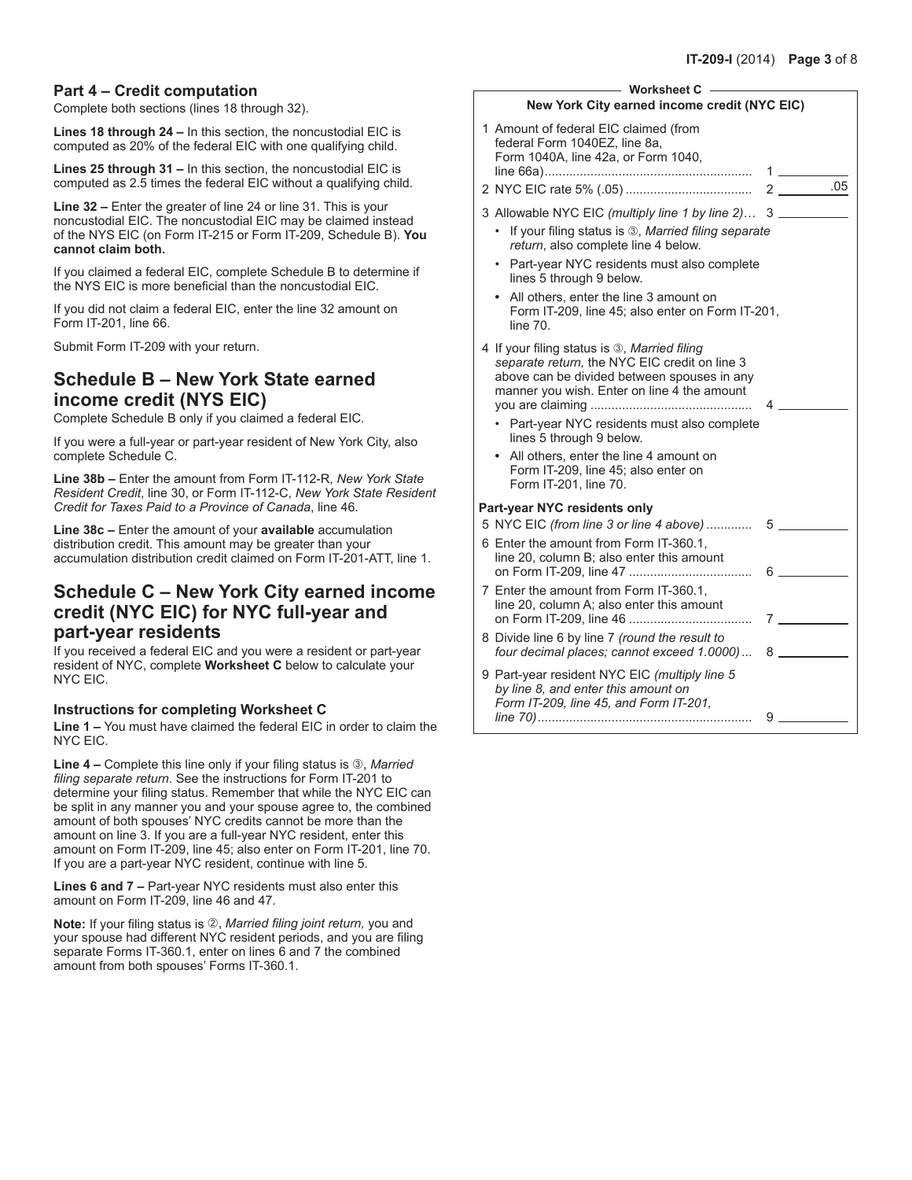### **Part 4 – Credit computation**

Complete both sections (lines 18 through 32).

**Lines 18 through 24 –** In this section, the noncustodial EIC is computed as 20% of the federal EIC with one qualifying child.

**Lines 25 through 31 –** In this section, the noncustodial EIC is computed as 2.5 times the federal EIC without a qualifying child.

**Line 32 –** Enter the greater of line 24 or line 31. This is your noncustodial EIC. The noncustodial EIC may be claimed instead of the NYS EIC (on Form IT-215 or Form IT-209, Schedule B). **You cannot claim both.** 

If you claimed a federal EIC, complete Schedule B to determine if the NYS EIC is more beneficial than the noncustodial EIC.

If you did not claim a federal EIC, enter the line 32 amount on Form IT-201, line 66.

Submit Form IT-209 with your return.

### **Schedule B – New York State earned income credit (NYS EIC)**

Complete Schedule B only if you claimed a federal EIC.

If you were a full-year or part-year resident of New York City, also complete Schedule C.

**Line 38b –** Enter the amount from Form IT-112-R, *New York State Resident Credit*, line 30, or Form IT-112-C, *New York State Resident Credit for Taxes Paid to a Province of Canada*, line 46.

**Line 38c –** Enter the amount of your **available** accumulation distribution credit. This amount may be greater than your accumulation distribution credit claimed on Form IT-201-ATT, line 1.

# **Schedule C – New York City earned income credit (NYC EIC) for NYC full-year and part-year residents**

If you received a federal EIC and you were a resident or part-year resident of NYC, complete **Worksheet C** below to calculate your NYC EIC.

#### **Instructions for completing Worksheet C**

**Line 1 –** You must have claimed the federal EIC in order to claim the NYC EIC.

Line 4 – Complete this line only if your filing status is 3, Married *filing separate return*. See the instructions for Form IT-201 to determine your filing status. Remember that while the NYC EIC can be split in any manner you and your spouse agree to, the combined amount of both spouses' NYC credits cannot be more than the amount on line 3. If you are a full-year NYC resident, enter this amount on Form IT-209, line 45; also enter on Form IT-201, line 70. If you are a part-year NYC resident, continue with line 5.

**Lines 6 and 7 –** Part-year NYC residents must also enter this amount on Form IT-209, line 46 and 47.

**Note:** If your filing status is 2, *Married filing joint return*, you and your spouse had different NYC resident periods, and you are filing separate Forms IT-360.1, enter on lines 6 and 7 the combined amount from both spouses' Forms IT-360.1.

| <b>Worksheet C</b>                                                                                                                                                                          |                 |
|---------------------------------------------------------------------------------------------------------------------------------------------------------------------------------------------|-----------------|
| New York City earned income credit (NYC EIC)                                                                                                                                                |                 |
| 1 Amount of federal EIC claimed (from<br>federal Form 1040EZ, line 8a,<br>Form 1040A, line 42a, or Form 1040,                                                                               | $1 \quad \Box$  |
|                                                                                                                                                                                             |                 |
| 3 Allowable NYC EIC (multiply line 1 by line 2) 3                                                                                                                                           |                 |
| If your filing status is 3, Married filing separate<br>return, also complete line 4 below.                                                                                                  |                 |
| Part-year NYC residents must also complete<br>lines 5 through 9 below.                                                                                                                      |                 |
| • All others, enter the line 3 amount on<br>Form IT-209, line 45; also enter on Form IT-201,<br>line 70.                                                                                    |                 |
| 4 If your filing status is 3, Married filing<br>separate return, the NYC EIC credit on line 3<br>above can be divided between spouses in any<br>manner you wish. Enter on line 4 the amount | 4               |
| Part-year NYC residents must also complete<br>lines 5 through 9 below.                                                                                                                      |                 |
| All others, enter the line 4 amount on<br>Form IT-209, line 45; also enter on<br>Form IT-201, line 70.                                                                                      |                 |
| Part-year NYC residents only                                                                                                                                                                |                 |
| 5 NYC EIC (from line 3 or line 4 above)  5                                                                                                                                                  |                 |
| 6 Enter the amount from Form IT-360.1.<br>line 20, column B: also enter this amount                                                                                                         | 6 — 1           |
| 7 Enter the amount from Form IT-360.1.<br>line 20, column A; also enter this amount                                                                                                         | $7 \overline{}$ |
| 8 Divide line 6 by line 7 (round the result to<br>four decimal places; cannot exceed 1.0000)                                                                                                | 8               |
| 9 Part-year resident NYC EIC (multiply line 5<br>by line 8, and enter this amount on<br>Form IT-209, line 45, and Form IT-201,                                                              | 9               |
|                                                                                                                                                                                             |                 |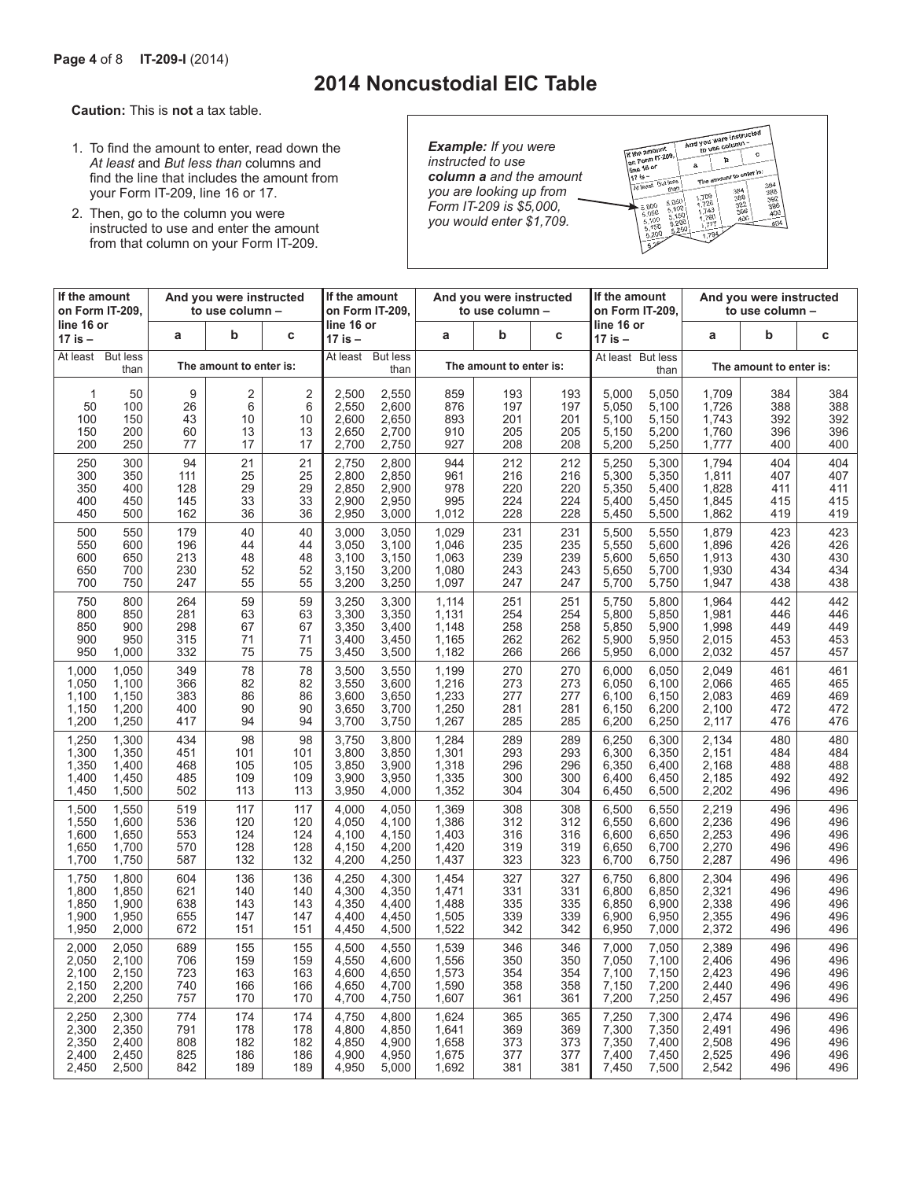# **2014 Noncustodial EIC Table**

**Caution:** This is **not** a tax table.

- 1. To find the amount to enter, read down the *At least* and *But less than* columns and find the line that includes the amount from your Form IT-209, line 16 or 17.
- 2. Then, go to the column you were instructed to use and enter the amount from that column on your Form IT-209.

*Example: If you were instructed to use column a and the amount you are looking up from Form IT-209 is \$5,000, you would enter \$1,709.*



| If the amount<br>And you were instructed<br>on Form IT-209.<br>to use column - |                         | If the amount<br>on Form IT-209. |     |     | And you were instructed<br>to use column - |       | If the amount<br>on Form IT-209. |                         | And you were instructed<br>to use column - |                       |       |                         |     |     |
|--------------------------------------------------------------------------------|-------------------------|----------------------------------|-----|-----|--------------------------------------------|-------|----------------------------------|-------------------------|--------------------------------------------|-----------------------|-------|-------------------------|-----|-----|
| line 16 or<br>17 is –                                                          |                         | a                                | b   | C   | line 16 or<br>17 is –                      |       | a                                | b                       | С                                          | line 16 or<br>17 is – |       | a                       | b   | C   |
| At least                                                                       | <b>But less</b><br>than | The amount to enter is:          |     |     | <b>But less</b><br>At least<br>than        |       |                                  | The amount to enter is: | At least But less                          | than                  |       | The amount to enter is: |     |     |
| 1                                                                              | 50                      | 9                                | 2   | 2   | 2,500                                      | 2,550 | 859                              | 193                     | 193                                        | 5,000                 | 5,050 | 1,709                   | 384 | 384 |
| 50                                                                             | 100                     | 26                               | 6   | 6   | 2,550                                      | 2,600 | 876                              | 197                     | 197                                        | 5,050                 | 5,100 | 1,726                   | 388 | 388 |
| 100                                                                            | 150                     | 43                               | 10  | 10  | 2,600                                      | 2,650 | 893                              | 201                     | 201                                        | 5,100                 | 5,150 | 1,743                   | 392 | 392 |
| 150                                                                            | 200                     | 60                               | 13  | 13  | 2,650                                      | 2,700 | 910                              | 205                     | 205                                        | 5,150                 | 5,200 | 1,760                   | 396 | 396 |
| 200                                                                            | 250                     | 77                               | 17  | 17  | 2,700                                      | 2,750 | 927                              | 208                     | 208                                        | 5,200                 | 5,250 | 1,777                   | 400 | 400 |
| 250                                                                            | 300                     | 94                               | 21  | 21  | 2,750                                      | 2,800 | 944                              | 212                     | 212                                        | 5,250                 | 5,300 | 1,794                   | 404 | 404 |
| 300                                                                            | 350                     | 111                              | 25  | 25  | 2,800                                      | 2,850 | 961                              | 216                     | 216                                        | 5,300                 | 5,350 | 1,811                   | 407 | 407 |
| 350                                                                            | 400                     | 128                              | 29  | 29  | 2,850                                      | 2,900 | 978                              | 220                     | 220                                        | 5,350                 | 5,400 | 1,828                   | 411 | 411 |
| 400                                                                            | 450                     | 145                              | 33  | 33  | 2,900                                      | 2,950 | 995                              | 224                     | 224                                        | 5,400                 | 5,450 | 1,845                   | 415 | 415 |
| 450                                                                            | 500                     | 162                              | 36  | 36  | 2,950                                      | 3,000 | 1,012                            | 228                     | 228                                        | 5,450                 | 5,500 | 1,862                   | 419 | 419 |
| 500                                                                            | 550                     | 179                              | 40  | 40  | 3,000                                      | 3,050 | 1,029                            | 231                     | 231                                        | 5,500                 | 5,550 | 1,879                   | 423 | 423 |
| 550                                                                            | 600                     | 196                              | 44  | 44  | 3,050                                      | 3,100 | 1,046                            | 235                     | 235                                        | 5,550                 | 5,600 | 1,896                   | 426 | 426 |
| 600                                                                            | 650                     | 213                              | 48  | 48  | 3,100                                      | 3,150 | 1,063                            | 239                     | 239                                        | 5,600                 | 5,650 | 1,913                   | 430 | 430 |
| 650                                                                            | 700                     | 230                              | 52  | 52  | 3,150                                      | 3,200 | 1,080                            | 243                     | 243                                        | 5,650                 | 5,700 | 1,930                   | 434 | 434 |
| 700                                                                            | 750                     | 247                              | 55  | 55  | 3,200                                      | 3,250 | 1,097                            | 247                     | 247                                        | 5,700                 | 5,750 | 1,947                   | 438 | 438 |
| 750                                                                            | 800                     | 264                              | 59  | 59  | 3,250                                      | 3,300 | 1,114                            | 251                     | 251                                        | 5,750                 | 5,800 | 1,964                   | 442 | 442 |
| 800                                                                            | 850                     | 281                              | 63  | 63  | 3,300                                      | 3,350 | 1,131                            | 254                     | 254                                        | 5,800                 | 5,850 | 1,981                   | 446 | 446 |
| 850                                                                            | 900                     | 298                              | 67  | 67  | 3,350                                      | 3,400 | 1,148                            | 258                     | 258                                        | 5,850                 | 5,900 | 1,998                   | 449 | 449 |
| 900                                                                            | 950                     | 315                              | 71  | 71  | 3,400                                      | 3,450 | 1,165                            | 262                     | 262                                        | 5,900                 | 5,950 | 2,015                   | 453 | 453 |
| 950                                                                            | 1,000                   | 332                              | 75  | 75  | 3,450                                      | 3,500 | 1,182                            | 266                     | 266                                        | 5,950                 | 6,000 | 2,032                   | 457 | 457 |
| 1,000                                                                          | 1,050                   | 349                              | 78  | 78  | 3,500                                      | 3,550 | 1,199                            | 270                     | 270                                        | 6,000                 | 6,050 | 2,049                   | 461 | 461 |
| 1,050                                                                          | 1,100                   | 366                              | 82  | 82  | 3,550                                      | 3,600 | 1,216                            | 273                     | 273                                        | 6,050                 | 6,100 | 2,066                   | 465 | 465 |
| 1,100                                                                          | 1,150                   | 383                              | 86  | 86  | 3,600                                      | 3,650 | 1,233                            | 277                     | 277                                        | 6,100                 | 6,150 | 2,083                   | 469 | 469 |
| 1,150                                                                          | 1,200                   | 400                              | 90  | 90  | 3,650                                      | 3,700 | 1,250                            | 281                     | 281                                        | 6,150                 | 6,200 | 2,100                   | 472 | 472 |
| 1,200                                                                          | 1,250                   | 417                              | 94  | 94  | 3,700                                      | 3,750 | 1,267                            | 285                     | 285                                        | 6,200                 | 6,250 | 2,117                   | 476 | 476 |
| 1,250                                                                          | 1,300                   | 434                              | 98  | 98  | 3,750                                      | 3,800 | 1,284                            | 289                     | 289                                        | 6,250                 | 6,300 | 2,134                   | 480 | 480 |
| 1,300                                                                          | 1,350                   | 451                              | 101 | 101 | 3,800                                      | 3,850 | 1,301                            | 293                     | 293                                        | 6,300                 | 6,350 | 2,151                   | 484 | 484 |
| 1,350                                                                          | 1,400                   | 468                              | 105 | 105 | 3,850                                      | 3,900 | 1,318                            | 296                     | 296                                        | 6,350                 | 6,400 | 2,168                   | 488 | 488 |
| 1,400                                                                          | 1,450                   | 485                              | 109 | 109 | 3,900                                      | 3,950 | 1,335                            | 300                     | 300                                        | 6,400                 | 6,450 | 2,185                   | 492 | 492 |
| 1,450                                                                          | 1,500                   | 502                              | 113 | 113 | 3,950                                      | 4,000 | 1,352                            | 304                     | 304                                        | 6,450                 | 6,500 | 2,202                   | 496 | 496 |
| 1,500                                                                          | 1,550                   | 519                              | 117 | 117 | 4,000                                      | 4,050 | 1,369                            | 308                     | 308                                        | 6,500                 | 6,550 | 2,219                   | 496 | 496 |
| 1,550                                                                          | 1,600                   | 536                              | 120 | 120 | 4,050                                      | 4,100 | 1,386                            | 312                     | 312                                        | 6,550                 | 6,600 | 2,236                   | 496 | 496 |
| 1,600                                                                          | 1,650                   | 553                              | 124 | 124 | 4.100                                      | 4,150 | 1,403                            | 316                     | 316                                        | 6,600                 | 6,650 | 2,253                   | 496 | 496 |
| 1,650                                                                          | 1,700                   | 570                              | 128 | 128 | 4,150                                      | 4,200 | 1,420                            | 319                     | 319                                        | 6,650                 | 6,700 | 2,270                   | 496 | 496 |
| 1,700                                                                          | 1,750                   | 587                              | 132 | 132 | 4,200                                      | 4,250 | 1,437                            | 323                     | 323                                        | 6,700                 | 6,750 | 2,287                   | 496 | 496 |
| 1,750                                                                          | 1,800                   | 604                              | 136 | 136 | 4,250                                      | 4,300 | 1,454                            | 327                     | 327                                        | 6,750                 | 6,800 | 2,304                   | 496 | 496 |
| 1,800                                                                          | 1,850                   | 621                              | 140 | 140 | 4,300                                      | 4,350 | 1,471                            | 331                     | 331                                        | 6,800                 | 6,850 | 2,321                   | 496 | 496 |
| 1,850                                                                          | 1,900                   | 638                              | 143 | 143 | 4,350                                      | 4,400 | 1,488                            | 335                     | 335                                        | 6,850                 | 6,900 | 2,338                   | 496 | 496 |
| 1,900                                                                          | 1,950                   | 655                              | 147 | 147 | 4,400                                      | 4,450 | 1,505                            | 339                     | 339                                        | 6,900                 | 6,950 | 2,355                   | 496 | 496 |
| 1,950                                                                          | 2,000                   | 672                              | 151 | 151 | 4,450                                      | 4,500 | 1,522                            | 342                     | 342                                        | 6,950                 | 7,000 | 2,372                   | 496 | 496 |
| 2,000                                                                          | 2,050                   | 689                              | 155 | 155 | 4,500                                      | 4,550 | 1,539                            | 346                     | 346                                        | 7,000                 | 7,050 | 2,389                   | 496 | 496 |
| 2,050                                                                          | 2,100                   | 706                              | 159 | 159 | 4,550                                      | 4,600 | 1,556                            | 350                     | 350                                        | 7,050                 | 7,100 | 2,406                   | 496 | 496 |
| 2,100                                                                          | 2,150                   | 723                              | 163 | 163 | 4,600                                      | 4,650 | 1,573                            | 354                     | 354                                        | 7,100                 | 7,150 | 2,423                   | 496 | 496 |
| 2,150                                                                          | 2,200                   | 740                              | 166 | 166 | 4,650                                      | 4,700 | 1,590                            | 358                     | 358                                        | 7,150                 | 7,200 | 2,440                   | 496 | 496 |
| 2,200                                                                          | 2,250                   | 757                              | 170 | 170 | 4,700                                      | 4,750 | 1,607                            | 361                     | 361                                        | 7,200                 | 7,250 | 2,457                   | 496 | 496 |
| 2,250                                                                          | 2,300                   | 774                              | 174 | 174 | 4,750                                      | 4,800 | 1,624                            | 365                     | 365                                        | 7,250                 | 7,300 | 2,474                   | 496 | 496 |
| 2,300                                                                          | 2,350                   | 791                              | 178 | 178 | 4,800                                      | 4,850 | 1,641                            | 369                     | 369                                        | 7,300                 | 7,350 | 2,491                   | 496 | 496 |
| 2,350                                                                          | 2,400                   | 808                              | 182 | 182 | 4,850                                      | 4,900 | 1,658                            | 373                     | 373                                        | 7,350                 | 7,400 | 2,508                   | 496 | 496 |
| 2,400                                                                          | 2,450                   | 825                              | 186 | 186 | 4,900                                      | 4,950 | 1,675                            | 377                     | 377                                        | 7,400                 | 7,450 | 2,525                   | 496 | 496 |
| 2,450                                                                          | 2,500                   | 842                              | 189 | 189 | 4,950                                      | 5,000 | 1,692                            | 381                     | 381                                        | 7,450                 | 7,500 | 2,542                   | 496 | 496 |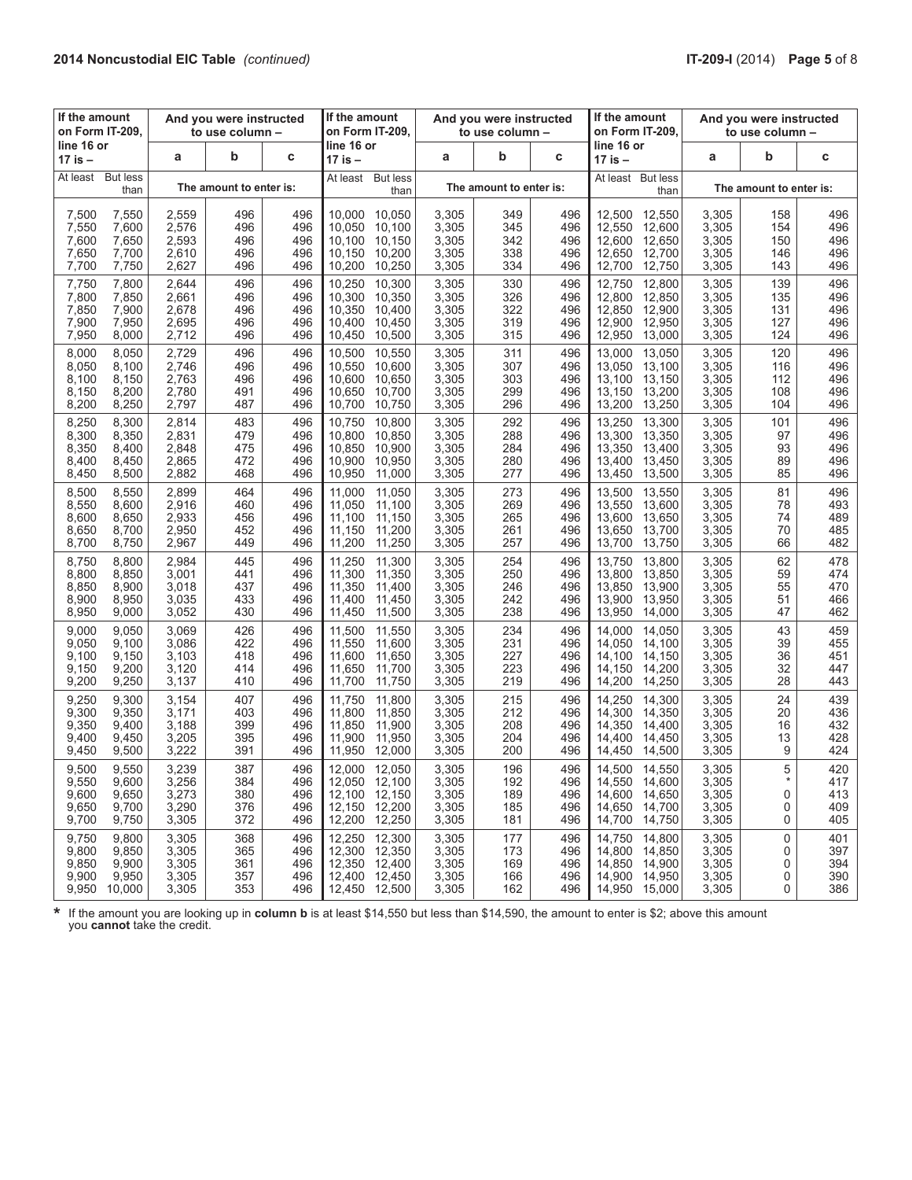| If the amount<br>on Form IT-209.                                                        | And you were instructed<br>to use column - |                                 | If the amount<br>on Form IT-209, |                                                                                                  | And you were instructed<br>to use column - |                                 | If the amount<br>on Form IT-209. | And you were instructed<br>to use column -                                                       |                                           |                                 |                                 |  |
|-----------------------------------------------------------------------------------------|--------------------------------------------|---------------------------------|----------------------------------|--------------------------------------------------------------------------------------------------|--------------------------------------------|---------------------------------|----------------------------------|--------------------------------------------------------------------------------------------------|-------------------------------------------|---------------------------------|---------------------------------|--|
| line 16 or<br>17 is –                                                                   | a                                          | b                               | c                                | line 16 or<br>17 is –                                                                            | a                                          | b                               | C                                | line 16 or<br>17 is –                                                                            | a                                         | b                               | C                               |  |
| <b>But less</b><br>At least<br>than                                                     |                                            | The amount to enter is:         |                                  | <b>But less</b><br>At least<br>than                                                              |                                            | The amount to enter is:         |                                  | At least But less<br>than                                                                        |                                           | The amount to enter is:         |                                 |  |
| 7,500<br>7,550<br>7,550<br>7,600<br>7,600<br>7,650<br>7,650<br>7,700<br>7,700<br>7,750  | 2,559<br>2,576<br>2,593<br>2,610<br>2,627  | 496<br>496<br>496<br>496<br>496 | 496<br>496<br>496<br>496<br>496  | 10,050<br>10,000<br>10,100<br>10,050<br>10,100<br>10,150<br>10,150<br>10,200<br>10,200<br>10,250 | 3,305<br>3,305<br>3,305<br>3,305<br>3,305  | 349<br>345<br>342<br>338<br>334 | 496<br>496<br>496<br>496<br>496  | 12,500<br>12.550<br>12,550<br>12,600<br>12,600<br>12,650<br>12,650<br>12,700<br>12,700<br>12,750 | 3,305<br>3,305<br>3,305<br>3,305<br>3,305 | 158<br>154<br>150<br>146<br>143 | 496<br>496<br>496<br>496<br>496 |  |
| 7,800<br>7,750<br>7,800<br>7,850<br>7,850<br>7,900<br>7,900<br>7,950<br>7,950<br>8,000  | 2.644<br>2,661<br>2,678<br>2,695<br>2,712  | 496<br>496<br>496<br>496<br>496 | 496<br>496<br>496<br>496<br>496  | 10,250<br>10,300<br>10,300<br>10,350<br>10.350<br>10,400<br>10.400<br>10,450<br>10,450<br>10,500 | 3,305<br>3,305<br>3,305<br>3,305<br>3,305  | 330<br>326<br>322<br>319<br>315 | 496<br>496<br>496<br>496<br>496  | 12,800<br>12,750<br>12,800<br>12,850<br>12,850<br>12,900<br>12,950<br>12,900<br>12,950<br>13,000 | 3,305<br>3,305<br>3,305<br>3,305<br>3,305 | 139<br>135<br>131<br>127<br>124 | 496<br>496<br>496<br>496<br>496 |  |
| 8,000<br>8,050<br>8,050<br>8,100<br>8,100<br>8,150<br>8,150<br>8,200<br>8,200<br>8,250  | 2,729<br>2,746<br>2,763<br>2,780<br>2,797  | 496<br>496<br>496<br>491<br>487 | 496<br>496<br>496<br>496<br>496  | 10,500<br>10,550<br>10,550<br>10,600<br>10,600<br>10,650<br>10,650<br>10,700<br>10,700<br>10,750 | 3,305<br>3,305<br>3,305<br>3,305<br>3,305  | 311<br>307<br>303<br>299<br>296 | 496<br>496<br>496<br>496<br>496  | 13,050<br>13,000<br>13,050<br>13,100<br>13,150<br>13,100<br>13,150<br>13,200<br>13,200<br>13,250 | 3,305<br>3,305<br>3,305<br>3,305<br>3,305 | 120<br>116<br>112<br>108<br>104 | 496<br>496<br>496<br>496<br>496 |  |
| 8,300<br>8,250<br>8,350<br>8,300<br>8,350<br>8,400<br>8,400<br>8,450<br>8,450<br>8,500  | 2,814<br>2,831<br>2,848<br>2,865<br>2,882  | 483<br>479<br>475<br>472<br>468 | 496<br>496<br>496<br>496<br>496  | 10,750<br>10.800<br>10.800<br>10.850<br>10,850<br>10,900<br>10.900<br>10,950<br>10,950<br>11,000 | 3,305<br>3,305<br>3,305<br>3,305<br>3,305  | 292<br>288<br>284<br>280<br>277 | 496<br>496<br>496<br>496<br>496  | 13,250<br>13,300<br>13,300<br>13,350<br>13,350<br>13,400<br>13,400<br>13,450<br>13,450<br>13,500 | 3,305<br>3,305<br>3,305<br>3,305<br>3,305 | 101<br>97<br>93<br>89<br>85     | 496<br>496<br>496<br>496<br>496 |  |
| 8,500<br>8,550<br>8,550<br>8,600<br>8,600<br>8,650<br>8,650<br>8,700<br>8,700<br>8,750  | 2,899<br>2,916<br>2,933<br>2,950<br>2,967  | 464<br>460<br>456<br>452<br>449 | 496<br>496<br>496<br>496<br>496  | 11,000<br>11,050<br>11,050<br>11,100<br>11,150<br>11,100<br>11,150<br>11,200<br>11,200<br>11,250 | 3,305<br>3,305<br>3,305<br>3,305<br>3,305  | 273<br>269<br>265<br>261<br>257 | 496<br>496<br>496<br>496<br>496  | 13,550<br>13,500<br>13,550<br>13,600<br>13,600<br>13.650<br>13.650<br>13,700<br>13,700<br>13,750 | 3,305<br>3,305<br>3,305<br>3,305<br>3,305 | 81<br>78<br>74<br>70<br>66      | 496<br>493<br>489<br>485<br>482 |  |
| 8,750<br>8,800<br>8,800<br>8,850<br>8,850<br>8,900<br>8,900<br>8,950<br>8,950<br>9,000  | 2,984<br>3,001<br>3,018<br>3,035<br>3,052  | 445<br>441<br>437<br>433<br>430 | 496<br>496<br>496<br>496<br>496  | 11,250<br>11,300<br>11,300<br>11,350<br>11,350<br>11,400<br>11,400<br>11,450<br>11,450<br>11,500 | 3,305<br>3,305<br>3,305<br>3,305<br>3,305  | 254<br>250<br>246<br>242<br>238 | 496<br>496<br>496<br>496<br>496  | 13,750<br>13,800<br>13,800<br>13,850<br>13,850<br>13,900<br>13,900<br>13,950<br>13,950<br>14,000 | 3,305<br>3,305<br>3,305<br>3,305<br>3,305 | 62<br>59<br>55<br>51<br>47      | 478<br>474<br>470<br>466<br>462 |  |
| 9,000<br>9,050<br>9,050<br>9,100<br>9,100<br>9,150<br>9,150<br>9,200<br>9,200<br>9,250  | 3,069<br>3,086<br>3,103<br>3,120<br>3,137  | 426<br>422<br>418<br>414<br>410 | 496<br>496<br>496<br>496<br>496  | 11,500<br>11,550<br>11,550<br>11,600<br>11,600<br>11,650<br>11,650<br>11,700<br>11,700<br>11,750 | 3,305<br>3,305<br>3,305<br>3,305<br>3,305  | 234<br>231<br>227<br>223<br>219 | 496<br>496<br>496<br>496<br>496  | 14.000<br>14,050<br>14,050<br>14,100<br>14,100<br>14,150<br>14,150<br>14,200<br>14,200<br>14,250 | 3,305<br>3,305<br>3,305<br>3,305<br>3,305 | 43<br>39<br>36<br>32<br>28      | 459<br>455<br>451<br>447<br>443 |  |
| 9,250<br>9,300<br>9,300<br>9,350<br>9,350<br>9,400<br>9,400<br>9,450<br>9,450<br>9,500  | 3,154<br>3,171<br>3,188<br>3,205<br>3,222  | 407<br>403<br>399<br>395<br>391 | 496<br>496<br>496<br>496<br>496  | 11,750<br>11,800<br>11.800<br>11,850<br>11,850<br>11,900<br>11,900<br>11,950<br>11,950<br>12,000 | 3,305<br>3,305<br>3,305<br>3,305<br>3,305  | 215<br>212<br>208<br>204<br>200 | 496<br>496<br>496<br>496<br>496  | 14,250<br>14,300<br>14,300<br>14,350<br>14,350<br>14,400<br>14,400<br>14,450<br>14,450<br>14,500 | 3,305<br>3,305<br>3,305<br>3,305<br>3,305 | 24<br>20<br>16<br>13<br>9       | 439<br>436<br>432<br>428<br>424 |  |
| 9,500<br>9,550<br>9,550<br>9,600<br>9,600<br>9,650<br>9,650<br>9,700<br>9,700<br>9,750  | 3,239<br>3,256<br>3,273<br>3,290<br>3,305  | 387<br>384<br>380<br>376<br>372 | 496<br>496<br>496<br>496<br>496  | 12.050<br>12,000<br>12,050 12,100<br>12,100 12,150<br>12,150 12,200<br>12,200 12,250             | 3,305<br>3,305<br>3,305<br>3,305<br>3,305  | 196<br>192<br>189<br>185<br>181 | 496<br>496<br>496<br>496<br>496  | 14,500<br>14.550<br>14,550 14,600<br>14,600<br>14,650<br>14,650<br>14,700<br>14,700<br>14,750    | 3,305<br>3,305<br>3,305<br>3,305<br>3,305 | 5<br>$\ast$<br>0<br>0<br>0      | 420<br>417<br>413<br>409<br>405 |  |
| 9,750<br>9,800<br>9,800<br>9,850<br>9,850<br>9,900<br>9,900<br>9,950<br>9,950<br>10,000 | 3,305<br>3,305<br>3,305<br>3,305<br>3,305  | 368<br>365<br>361<br>357<br>353 | 496<br>496<br>496<br>496<br>496  | 12,300<br>12,250<br>12,300 12,350<br>12,350 12,400<br>12,400 12,450<br>12,450 12,500             | 3,305<br>3,305<br>3,305<br>3,305<br>3,305  | 177<br>173<br>169<br>166<br>162 | 496<br>496<br>496<br>496<br>496  | 14,750<br>14,800<br>14,800<br>14,850<br>14,850<br>14,900<br>14,900<br>14,950<br>14,950 15,000    | 3,305<br>3,305<br>3,305<br>3,305<br>3,305 | 0<br>0<br>0<br>0<br>0           | 401<br>397<br>394<br>390<br>386 |  |

**\*** If the amount you are looking up in **column <sup>b</sup>**is at least \$14,550 but less than \$14,590, the amount to enter is \$2; above this amount you **cannot** take the credit.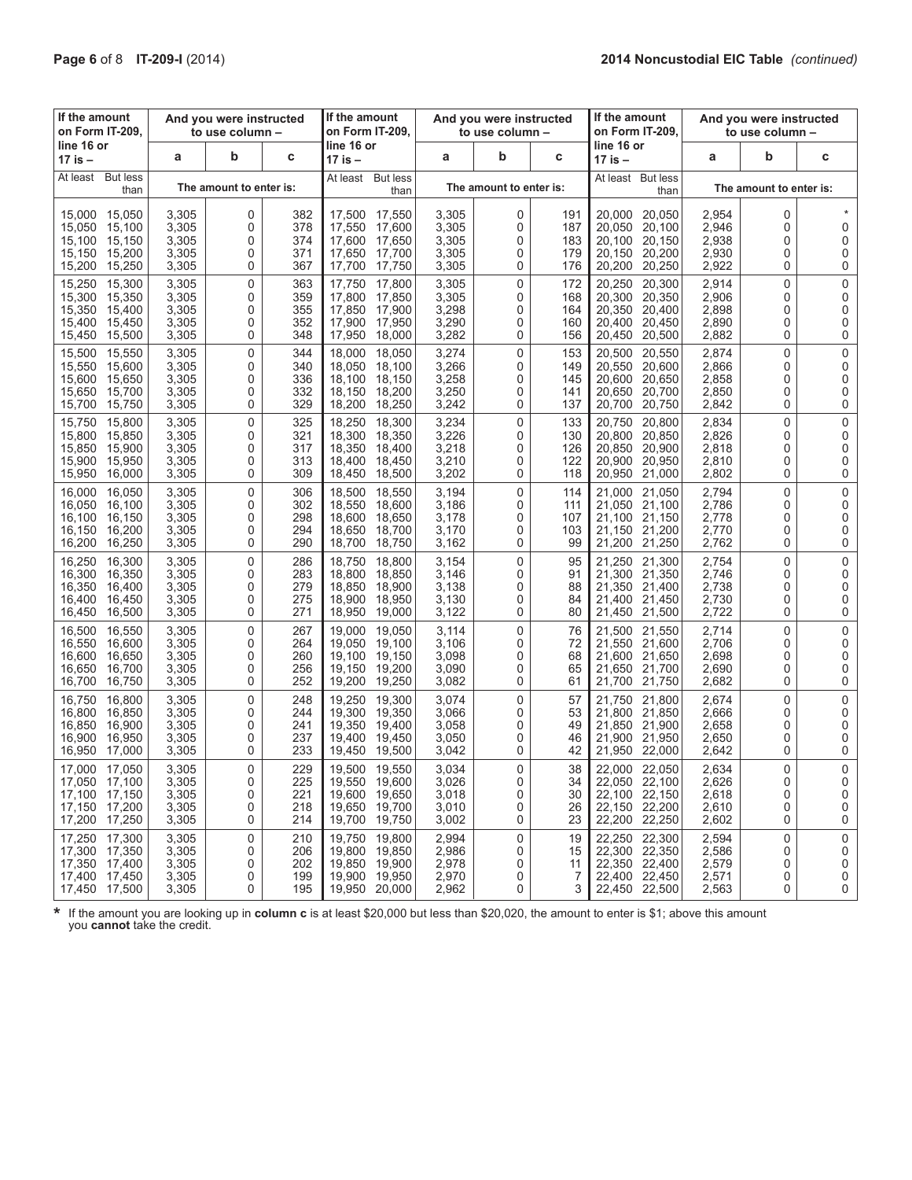| If the amount<br>And you were instructed<br>on Form IT-209,<br>to use column -                   |                                           | If the amount<br>on Form IT-209. |                                 | And you were instructed<br>to use column -                                                       |                                           | If the amount<br>on Form IT-209. | And you were instructed<br>to use column - |                                                                                                  |                                           |                         |                                 |
|--------------------------------------------------------------------------------------------------|-------------------------------------------|----------------------------------|---------------------------------|--------------------------------------------------------------------------------------------------|-------------------------------------------|----------------------------------|--------------------------------------------|--------------------------------------------------------------------------------------------------|-------------------------------------------|-------------------------|---------------------------------|
| line 16 or<br>17 is –                                                                            | a                                         | b                                | C                               | line 16 or<br>17 is –                                                                            | a                                         | b                                | С                                          | line 16 or<br>17 is –                                                                            | a                                         | b                       | C                               |
| <b>But less</b><br>At least<br>than                                                              |                                           | The amount to enter is:          |                                 | At least<br><b>But less</b><br>than                                                              |                                           | The amount to enter is:          |                                            | <b>But less</b><br>At least<br>than                                                              |                                           | The amount to enter is: |                                 |
| 15,000 15,050<br>15,100<br>15,050<br>15,100<br>15,150<br>15,150<br>15,200<br>15,200<br>15,250    | 3,305<br>3,305<br>3,305<br>3,305<br>3,305 | 0<br>0<br>0<br>0<br>0            | 382<br>378<br>374<br>371<br>367 | 17,500 17,550<br>17,550<br>17,600<br>17,600<br>17,650<br>17,650<br>17.700<br>17,700<br>17,750    | 3,305<br>3,305<br>3,305<br>3,305<br>3,305 | 0<br>0<br>0<br>0<br>0            | 191<br>187<br>183<br>179<br>176            | 20,050<br>20,000<br>20,100<br>20,050<br>20,100<br>20,150<br>20,150<br>20,200<br>20,200<br>20,250 | 2,954<br>2,946<br>2,938<br>2,930<br>2,922 | 0<br>0<br>0<br>0<br>0   | 0<br>0<br>0<br>0                |
| 15.250<br>15,300<br>15,300 15,350<br>15,350<br>15,400<br>15,400<br>15,450<br>15,450<br>15,500    | 3,305<br>3,305<br>3,305<br>3,305<br>3,305 | 0<br>0<br>0<br>0<br>0            | 363<br>359<br>355<br>352<br>348 | 17,750<br>17,800<br>17.800<br>17.850<br>17,850<br>17.900<br>17,900<br>17,950<br>17,950<br>18,000 | 3,305<br>3,305<br>3,298<br>3,290<br>3,282 | 0<br>0<br>0<br>0<br>0            | 172<br>168<br>164<br>160<br>156            | 20.250<br>20,300<br>20,300<br>20,350<br>20,350<br>20,400<br>20,400<br>20,450<br>20,450<br>20,500 | 2,914<br>2,906<br>2,898<br>2,890<br>2,882 | 0<br>0<br>0<br>0<br>0   | 0<br>0<br>0<br>0<br>0           |
| 15,500<br>15,550<br>15,600<br>15,550<br>15,600<br>15,650<br>15,650<br>15,700<br>15,700<br>15,750 | 3,305<br>3,305<br>3,305<br>3,305<br>3,305 | 0<br>0<br>0<br>0<br>0            | 344<br>340<br>336<br>332<br>329 | 18,000<br>18,050<br>18,050<br>18,100<br>18,100<br>18,150<br>18,150<br>18,200<br>18,200<br>18,250 | 3,274<br>3,266<br>3,258<br>3,250<br>3,242 | 0<br>0<br>0<br>0<br>0            | 153<br>149<br>145<br>141<br>137            | 20,500<br>20,550<br>20,550<br>20,600<br>20,600<br>20,650<br>20,650<br>20,700<br>20,700<br>20,750 | 2,874<br>2,866<br>2,858<br>2,850<br>2,842 | 0<br>0<br>0<br>0<br>0   | $\mathbf 0$<br>0<br>0<br>0<br>0 |
| 15,800<br>15,750<br>15,800<br>15,850<br>15,850 15,900<br>15,900<br>15,950<br>15,950<br>16,000    | 3,305<br>3,305<br>3,305<br>3,305<br>3,305 | 0<br>0<br>0<br>0<br>0            | 325<br>321<br>317<br>313<br>309 | 18.300<br>18,250<br>18,350<br>18,300<br>18,350 18,400<br>18,400<br>18,450<br>18,450<br>18,500    | 3,234<br>3,226<br>3,218<br>3,210<br>3,202 | 0<br>0<br>0<br>0<br>0            | 133<br>130<br>126<br>122<br>118            | 20,750<br>20.800<br>20,800<br>20,850<br>20,850<br>20,900<br>20,900<br>20,950<br>20,950<br>21,000 | 2,834<br>2,826<br>2,818<br>2,810<br>2,802 | 0<br>0<br>0<br>0<br>0   | 0<br>0<br>0<br>0<br>0           |
| 16,050<br>16,000<br>16,050<br>16,100<br>16,100<br>16,150<br>16,150<br>16,200<br>16,200 16,250    | 3,305<br>3,305<br>3,305<br>3,305<br>3,305 | 0<br>0<br>0<br>0<br>0            | 306<br>302<br>298<br>294<br>290 | 18,500<br>18,550<br>18,550<br>18.600<br>18,600<br>18,650<br>18,650<br>18,700<br>18,700<br>18,750 | 3,194<br>3,186<br>3,178<br>3,170<br>3,162 | 0<br>0<br>0<br>0<br>0            | 114<br>111<br>107<br>103<br>99             | 21,000<br>21,050<br>21,050<br>21,100<br>21,100<br>21.150<br>21,150<br>21,200<br>21,200 21,250    | 2,794<br>2,786<br>2,778<br>2,770<br>2,762 | 0<br>0<br>0<br>0<br>0   | 0<br>0<br>0<br>0<br>0           |
| 16,250<br>16,300<br>16,300<br>16,350<br>16,350<br>16,400<br>16,400<br>16,450<br>16,450<br>16,500 | 3,305<br>3,305<br>3,305<br>3,305<br>3,305 | 0<br>0<br>0<br>0<br>0            | 286<br>283<br>279<br>275<br>271 | 18,800<br>18,750<br>18,800<br>18,850<br>18,850<br>18,900<br>18,900<br>18,950<br>18,950<br>19,000 | 3,154<br>3,146<br>3,138<br>3,130<br>3,122 | 0<br>0<br>0<br>0<br>0            | 95<br>91<br>88<br>84<br>80                 | 21,300<br>21,250<br>21,300<br>21,350<br>21,350<br>21,400<br>21,400<br>21,450<br>21,450<br>21,500 | 2,754<br>2,746<br>2,738<br>2,730<br>2,722 | 0<br>0<br>0<br>0<br>0   | 0<br>0<br>0<br>0<br>0           |
| 16,500<br>16,550<br>16,600<br>16,550<br>16.600<br>16,650<br>16,650<br>16,700<br>16,700 16,750    | 3,305<br>3,305<br>3,305<br>3,305<br>3,305 | 0<br>0<br>0<br>0<br>0            | 267<br>264<br>260<br>256<br>252 | 19,000<br>19,050<br>19,050<br>19,100<br>19.100<br>19,150<br>19,150<br>19,200<br>19,200<br>19,250 | 3,114<br>3,106<br>3,098<br>3,090<br>3,082 | 0<br>0<br>0<br>0<br>0            | 76<br>72<br>68<br>65<br>61                 | 21,500<br>21,550<br>21,550<br>21,600<br>21,600<br>21,650<br>21,650<br>21,700<br>21,700 21,750    | 2,714<br>2,706<br>2,698<br>2,690<br>2,682 | 0<br>0<br>0<br>0<br>0   | $\mathbf 0$<br>0<br>0<br>0<br>0 |
| 16,750<br>16.800<br>16,800<br>16,850<br>16,850<br>16,900<br>16.900<br>16,950<br>16,950<br>17,000 | 3,305<br>3,305<br>3,305<br>3,305<br>3,305 | 0<br>0<br>0<br>0<br>0            | 248<br>244<br>241<br>237<br>233 | 19,250<br>19,300<br>19,300<br>19,350<br>19,350<br>19,400<br>19,400<br>19,450<br>19,450<br>19,500 | 3,074<br>3,066<br>3,058<br>3,050<br>3,042 | 0<br>0<br>0<br>0<br>0            | 57<br>53<br>49<br>46<br>42                 | 21,750<br>21,800<br>21,800<br>21,850<br>21,850<br>21,900<br>21,900<br>21,950<br>21,950<br>22,000 | 2,674<br>2,666<br>2,658<br>2,650<br>2,642 | 0<br>0<br>0<br>0<br>0   | 0<br>0<br>0<br>0<br>0           |
| 17,050<br>17,000<br>17,050 17,100<br>17,100 17,150<br>17,150 17,200<br>17,200 17,250             | 3,305<br>3,305<br>3,305<br>3,305<br>3,305 | $\Omega$<br>0<br>0<br>0<br>0     | 229<br>225<br>221<br>218<br>214 | 19,500<br>19,550<br>19,550 19,600<br>19,600 19,650<br>19,650 19,700<br>19,700 19,750             | 3,034<br>3,026<br>3,018<br>3,010<br>3,002 | $\Omega$<br>0<br>0<br>0<br>0     | 38<br>34<br>30<br>26<br>23                 | 22,050<br>22,000<br>22,050 22,100<br>22,100 22,150<br>22,150 22,200<br>22,200 22,250             | 2,634<br>2,626<br>2,618<br>2,610<br>2,602 | 0<br>0<br>0<br>0<br>0   | $\Omega$<br>0<br>0<br>0<br>0    |
| 17,250 17,300<br>17,300 17,350<br>17,350 17,400<br>17,400 17,450<br>17,450 17,500                | 3,305<br>3,305<br>3,305<br>3,305<br>3,305 | 0<br>0<br>0<br>0<br>0            | 210<br>206<br>202<br>199<br>195 | 19,750 19,800<br>19,800 19,850<br>19,850 19,900<br>19,900 19,950<br>19,950 20,000                | 2,994<br>2,986<br>2,978<br>2,970<br>2,962 | 0<br>0<br>0<br>0<br>0            | 19<br>15<br>11<br>7<br>3                   | 22,250 22,300<br>22,300 22,350<br>22,350 22,400<br>22,400 22,450<br>22,450 22,500                | 2,594<br>2,586<br>2,579<br>2,571<br>2,563 | 0<br>0<br>0<br>0<br>0   | 0<br>0<br>0<br>0<br>0           |

**\*** If the amount you are looking up in **column <sup>c</sup>**is at least \$20,000 but less than \$20,020, the amount to enter is \$1; above this amount you **cannot** take the credit.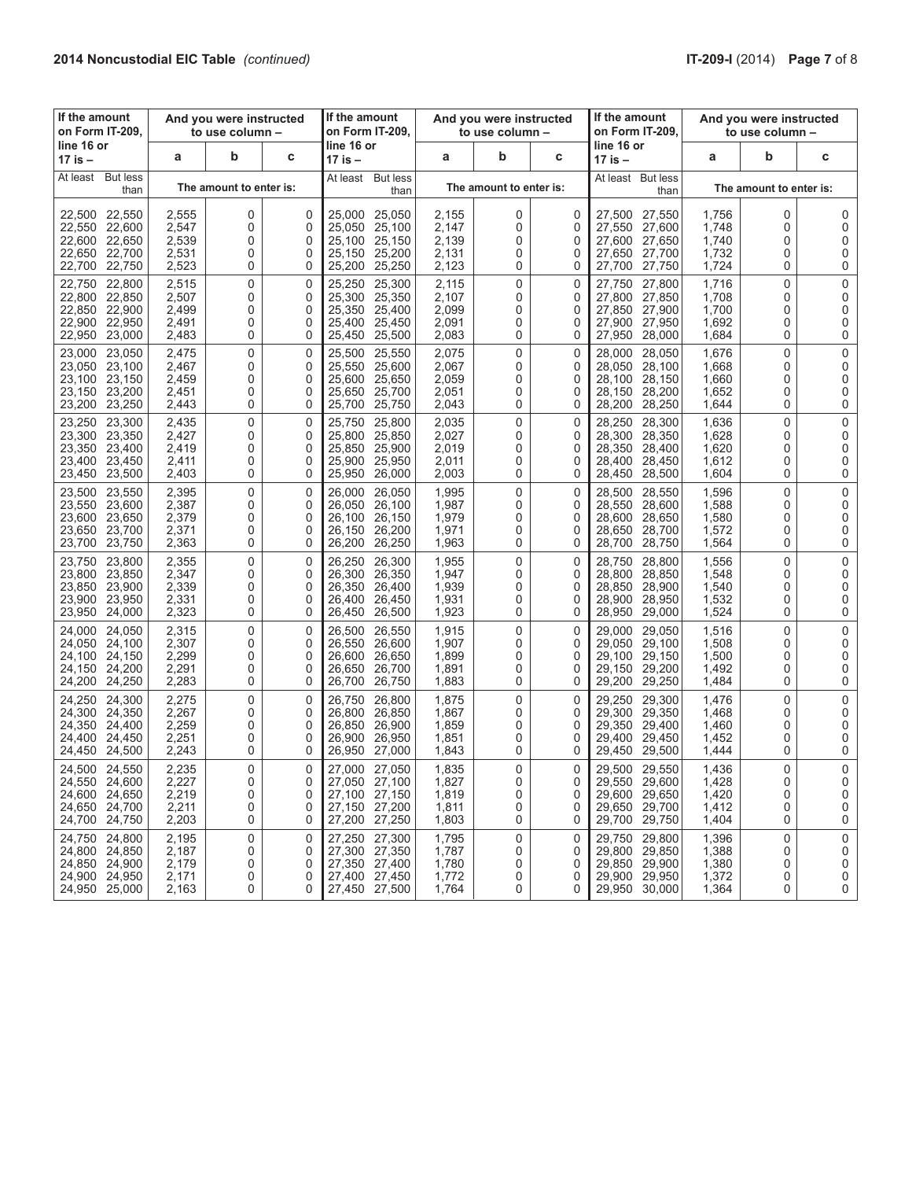| If the amount<br>on Form IT-209.                                                                 | And you were instructed<br>to use column - |                              | If the amount<br>on Form IT-209. |                                                                            |                                                | And you were instructed<br>to use column - |                              | If the amount<br>on Form IT-209.                    | And you were instructed<br>to use column -                                                       |                                           |                         |                       |
|--------------------------------------------------------------------------------------------------|--------------------------------------------|------------------------------|----------------------------------|----------------------------------------------------------------------------|------------------------------------------------|--------------------------------------------|------------------------------|-----------------------------------------------------|--------------------------------------------------------------------------------------------------|-------------------------------------------|-------------------------|-----------------------|
| line 16 or<br>17 is –                                                                            | a                                          | b                            | С                                | line 16 or<br>17 is –                                                      |                                                | a                                          | b                            | C                                                   | line 16 or<br>17 is –                                                                            | a                                         | b                       | C                     |
| <b>But less</b><br>At least<br>than                                                              |                                            | The amount to enter is:      |                                  | At least                                                                   | <b>But less</b><br>than                        |                                            | The amount to enter is:      |                                                     | At least But less<br>than                                                                        |                                           | The amount to enter is: |                       |
| 22,550<br>22,500<br>22,550<br>22,600<br>22,600<br>22,650<br>22,700<br>22,650<br>22,750<br>22,700 | 2,555<br>2,547<br>2,539<br>2,531<br>2,523  | 0<br>0<br>0<br>0<br>0        | 0<br>0<br>0<br>0<br>0            | 25,000<br>25,050<br>25,100<br>25,150<br>25,200                             | 25.050<br>25,100<br>25,150<br>25,200<br>25,250 | 2,155<br>2,147<br>2,139<br>2,131<br>2,123  | 0<br>0<br>0<br>0<br>0        | 0<br>0<br>0<br>0<br>0                               | 27,500<br>27,550<br>27,550<br>27,600<br>27,600<br>27,650<br>27,700<br>27,650<br>27,700<br>27,750 | 1,756<br>1,748<br>1,740<br>1,732<br>1,724 | 0<br>0<br>0<br>0<br>0   | 0<br>0<br>0<br>0<br>0 |
| 22,800<br>22,750<br>22,800 22,850<br>22,850<br>22,900<br>22,900<br>22.950<br>22,950 23,000       | 2,515<br>2,507<br>2,499<br>2,491<br>2,483  | 0<br>0<br>0<br>0<br>0        | $\Omega$<br>0<br>0<br>0<br>0     | 25,250<br>25,300<br>25,350<br>25,400<br>25,450                             | 25,300<br>25,350<br>25,400<br>25,450<br>25,500 | 2,115<br>2,107<br>2,099<br>2,091<br>2,083  | 0<br>0<br>0<br>0<br>0        | $\mathbf 0$<br>0<br>$\mathbf 0$<br>$\mathbf 0$<br>0 | 27,800<br>27.750<br>27,800<br>27,850<br>27,850<br>27,900<br>27,900<br>27,950<br>27,950<br>28,000 | 1,716<br>1,708<br>1,700<br>1,692<br>1,684 | 0<br>0<br>0<br>0<br>0   | 0<br>0<br>0<br>0<br>0 |
| 23,050<br>23,000<br>23,050<br>23,100<br>23,100 23,150<br>23,200<br>23,150<br>23,200 23,250       | 2,475<br>2,467<br>2,459<br>2,451<br>2,443  | 0<br>0<br>0<br>0<br>0        | $\Omega$<br>0<br>0<br>0<br>0     | 25,500<br>25,550<br>25,600<br>25,650<br>25,700                             | 25,550<br>25,600<br>25,650<br>25,700<br>25,750 | 2,075<br>2,067<br>2,059<br>2,051<br>2,043  | 0<br>0<br>0<br>0<br>0        | $\mathbf 0$<br>0<br>0<br>0<br>0                     | 28.000<br>28,050<br>28,050<br>28,100<br>28,150<br>28,100<br>28,200<br>28,150<br>28,200<br>28,250 | 1,676<br>1,668<br>1,660<br>1,652<br>1,644 | 0<br>0<br>0<br>0<br>0   | 0<br>0<br>0<br>0<br>0 |
| 23,250<br>23,300<br>23,300<br>23,350<br>23,350<br>23,400<br>23,400 23,450<br>23,450 23,500       | 2,435<br>2,427<br>2,419<br>2,411<br>2,403  | 0<br>0<br>0<br>0<br>0        | $\Omega$<br>0<br>0<br>0<br>0     | 25,750<br>25.800<br>25,850<br>25,900<br>25,950                             | 25,800<br>25,850<br>25,900<br>25,950<br>26,000 | 2,035<br>2,027<br>2,019<br>2,011<br>2,003  | $\Omega$<br>0<br>0<br>0<br>0 | $\Omega$<br>0<br>0<br>0<br>0                        | 28,250<br>28,300<br>28,300<br>28,350<br>28,350<br>28,400<br>28,400<br>28,450<br>28,450<br>28,500 | 1,636<br>1,628<br>1,620<br>1,612<br>1,604 | 0<br>0<br>0<br>0<br>0   | 0<br>0<br>0<br>0<br>0 |
| 23,500<br>23,550<br>23,550 23,600<br>23,600 23,650<br>23,700<br>23,650<br>23,700<br>23,750       | 2,395<br>2,387<br>2,379<br>2,371<br>2,363  | 0<br>0<br>0<br>0<br>0        | $\Omega$<br>0<br>0<br>0<br>0     | 26,000<br>26,050<br>26,100<br>26,150<br>26,200                             | 26,050<br>26,100<br>26.150<br>26,200<br>26,250 | 1,995<br>1,987<br>1,979<br>1,971<br>1,963  | 0<br>0<br>0<br>0<br>0        | 0<br>0<br>0<br>0<br>$\mathbf 0$                     | 28,550<br>28,500<br>28.550<br>28,600<br>28,650<br>28.600<br>28,700<br>28.650<br>28,700<br>28,750 | 1,596<br>1,588<br>1,580<br>1,572<br>1,564 | 0<br>0<br>0<br>0<br>0   | 0<br>0<br>0<br>0<br>0 |
| 23,800<br>23,750<br>23,800<br>23,850<br>23,850<br>23,900<br>23,900<br>23,950<br>23,950 24,000    | 2,355<br>2,347<br>2,339<br>2,331<br>2,323  | 0<br>0<br>0<br>0<br>0        | $\Omega$<br>0<br>0<br>0<br>0     | 26,250<br>26,300<br>26,350<br>26,400<br>26,450                             | 26,300<br>26,350<br>26,400<br>26,450<br>26,500 | 1,955<br>1,947<br>1,939<br>1,931<br>1,923  | $\Omega$<br>0<br>0<br>0<br>0 | $\mathbf 0$<br>0<br>0<br>0<br>0                     | 28,750<br>28,800<br>28,800<br>28,850<br>28,850<br>28,900<br>28,900<br>28,950<br>28,950<br>29,000 | 1,556<br>1,548<br>1,540<br>1,532<br>1,524 | 0<br>0<br>0<br>0<br>0   | 0<br>0<br>0<br>0<br>0 |
| 24,050<br>24,000<br>24,050 24,100<br>24,100 24,150<br>24,150<br>24,200<br>24,200<br>24,250       | 2,315<br>2,307<br>2,299<br>2,291<br>2,283  | 0<br>0<br>0<br>0<br>0        | $\Omega$<br>0<br>0<br>0<br>0     | 26,500<br>26,550<br>26,600<br>26,650<br>26,700                             | 26,550<br>26,600<br>26,650<br>26,700<br>26,750 | 1,915<br>1,907<br>1,899<br>1,891<br>1,883  | 0<br>0<br>0<br>0<br>0        | $\mathbf 0$<br>0<br>0<br>0<br>0                     | 29,000<br>29,050<br>29,050<br>29,100<br>29,150<br>29,100<br>29,150<br>29,200<br>29,200 29,250    | 1,516<br>1,508<br>1,500<br>1,492<br>1,484 | 0<br>0<br>0<br>0<br>0   | 0<br>0<br>0<br>0<br>0 |
| 24,250<br>24,300<br>24,300<br>24,350<br>24,350<br>24,400<br>24,450<br>24.400<br>24,500<br>24,450 | 2,275<br>2,267<br>2,259<br>2,251<br>2,243  | 0<br>0<br>0<br>0<br>0        | $\Omega$<br>0<br>0<br>0<br>0     | 26,750<br>26.800<br>26,850<br>26.900<br>26,950                             | 26,800<br>26,850<br>26,900<br>26,950<br>27,000 | 1,875<br>1,867<br>1,859<br>1,851<br>1,843  | 0<br>0<br>0<br>0<br>0        | 0<br>0<br>0<br>0<br>0                               | 29,250<br>29,300<br>29,300<br>29,350<br>29,350<br>29,400<br>29,400<br>29,450<br>29,450<br>29,500 | 1,476<br>1,468<br>1,460<br>1,452<br>1,444 | 0<br>0<br>0<br>0<br>0   | 0<br>0<br>0<br>0<br>0 |
| 24,500<br>24.550<br>24,550 24,600<br>24,600 24,650<br>24,650<br>24,700<br>24,700<br>24,750       | 2,235<br>2,227<br>2,219<br>2,211<br>2,203  | $\Omega$<br>0<br>0<br>0<br>0 | $\Omega$<br>0<br>0<br>0<br>0     | 27,000<br>27,050 27,100<br>27,100 27,150<br>27,150<br>27,200               | 27,050<br>27,200<br>27,250                     | 1,835<br>1,827<br>1,819<br>1,811<br>1,803  | 0<br>0<br>0<br>0<br>0        | $\Omega$<br>0<br>0<br>0<br>0                        | 29,500<br>29,550<br>29,550 29,600<br>29,600 29,650<br>29,650 29,700<br>29,700<br>29,750          | 1,436<br>1,428<br>1,420<br>1,412<br>1,404 | 0<br>0<br>0<br>0<br>0   | 0<br>0<br>0<br>0<br>0 |
| 24,750<br>24,800<br>24,800 24,850<br>24,850 24,900<br>24,900 24,950<br>24,950 25,000             | 2,195<br>2,187<br>2,179<br>2,171<br>2,163  | 0<br>0<br>0<br>0<br>0        | 0<br>0<br>0<br>0<br>0            | 27.250<br>27,300 27,350<br>27,350 27,400<br>27,400 27,450<br>27,450 27,500 | 27,300                                         | 1,795<br>1,787<br>1,780<br>1,772<br>1,764  | 0<br>0<br>0<br>0<br>0        | $\mathbf 0$<br>0<br>0<br>0<br>0                     | 29,800<br>29,750<br>29,800<br>29,850<br>29,850 29,900<br>29,900 29,950<br>29,950 30,000          | 1,396<br>1,388<br>1,380<br>1,372<br>1,364 | 0<br>0<br>0<br>0<br>0   | 0<br>0<br>0<br>0<br>0 |